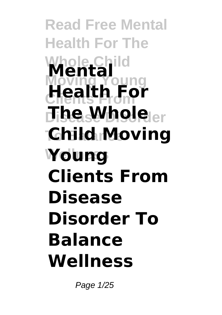**Read Free Mental Health For The Whole Child Mental Moving Young Clients From Health For**  $\mathbf{H}$ **be Whole**ler **To Balance Child Moving Wellness Young Clients From Disease Disorder To Balance Wellness**

Page 1/25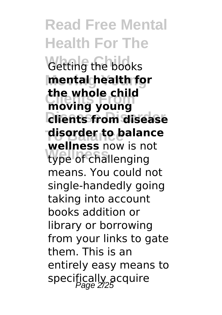**Read Free Mental Health For The Getting the books Moving Young mental health for Clients From moving young Disease Disorder clients from disease To Balance disorder to balance Wellness** type of challenging **the whole child wellness** now is not means. You could not single-handedly going taking into account books addition or library or borrowing from your links to gate them. This is an entirely easy means to specifically acquire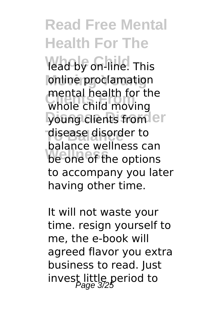lead by on-line. This **Ionline proclamation Clients From** whole child moving young clients from er **To Balance** disease disorder to be one of the options mental health for the balance wellness can to accompany you later having other time.

It will not waste your time. resign yourself to me, the e-book will agreed flavor you extra business to read. Just invest little period to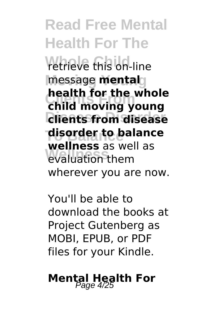**Read Free Mental Health For The retrieve this on-line Moving Young** message **mental Clients From child moving young Disease Disorder clients from disease To Balance disorder to balance Wellness** evaluation them **health for the whole wellness** as well as wherever you are now.

You'll be able to download the books at Project Gutenberg as MOBI, EPUB, or PDF files for your Kindle.

**Mental Health For**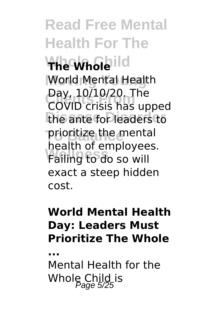**Read Free Mental Health For The Whole Child The Whole World Mental Health Day, 10/10/20. The**<br>COVID crisis has un the ante for leaders to **To Balance** prioritize the mental **Failing to do so will** COVID crisis has upped health of employees. exact a steep hidden cost.

#### **World Mental Health Day: Leaders Must Prioritize The Whole**

**...**

Mental Health for the Whole Child is  $\frac{6}{2}$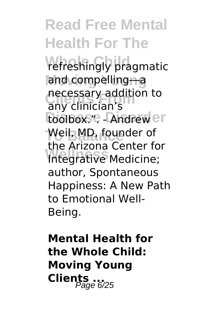refreshingly pragmatic **Moving Young** and compelling―a **necessary addition to**<br>any clinician's toolbox.". - Andrew er **Weil, MD, founder of Integrative Medicine;** any clinician's the Arizona Center for author, Spontaneous Happiness: A New Path to Emotional Well-Being.

**Mental Health for the Whole Child: Moving Young Clients** ...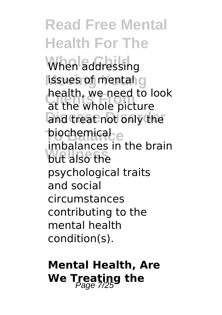When addressing lissues of mental g **Realth, we heed to realth** and treat not only the **piochemical** e **Wellness** but also the health, we need to look imbalances in the brain psychological traits and social circumstances contributing to the mental health condition(s).

### **Mental Health, Are We Treating the**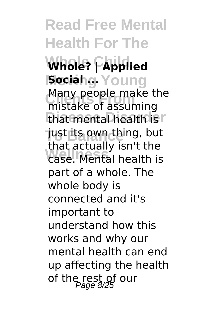**Read Free Mental Health For The** Whole? **Fapplied Social** g. Young Many people make the<br>mistake of assuming that mental health is r Tust its own thing, but **Wellness** case. Mental health is mistake of assuming that actually isn't the part of a whole. The whole body is connected and it's important to understand how this works and why our mental health can end up affecting the health of the rest of our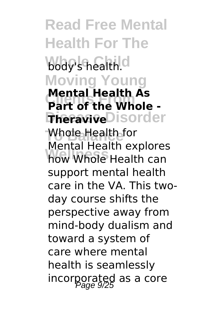**Read Free Mental Health For The Whole Child** body's health. **Moving Young Part of the Whole -TheraviveDisorder Whole Health for Wellness** how Whole Health can **Mental Health As** Mental Health explores support mental health care in the VA. This twoday course shifts the perspective away from mind-body dualism and toward a system of care where mental health is seamlessly incorporated as a core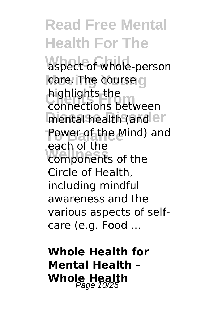**Read Free Mental Health For The** aspect of whole-person care. The course g **Clients From** connections between mental health (and er **Power of the Mind) and** components of the highlights the each of the Circle of Health, including mindful awareness and the various aspects of selfcare (e.g. Food ...

**Whole Health for Mental Health – Whole Health** Page 10/25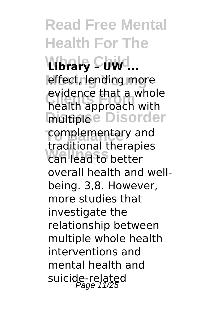**Whole Child Library – UW ...** effect, lending more **Clients From** health approach with **Disorder Tomplementary and Wellness** can lead to better evidence that a whole traditional therapies overall health and wellbeing. 3,8. However, more studies that investigate the relationship between multiple whole health interventions and mental health and suicide-related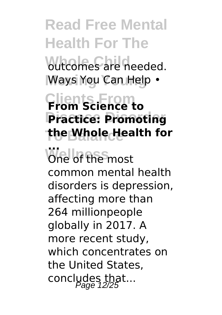### **Read Free Mental Health For The butcomes** are needed. Ways You Can Help •

### **Clients From From Science to Disease Disorder Practice: Promoting the Whole Health for**

**Wellness ...** One of the most common mental health disorders is depression, affecting more than 264 millionpeople globally in 2017. A more recent study, which concentrates on the United States, concludes that...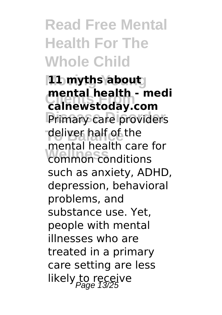### **Read Free Mental Health For The Whole Child**

**Moving Young 11 myths about** mental nealth - me<br> **calnewstoday.com** Primary care providers **To Balance** deliver half of the **Wellness** common conditions **mental health - medi** mental health care for such as anxiety, ADHD, depression, behavioral problems, and substance use. Yet, people with mental illnesses who are treated in a primary care setting are less likely to receive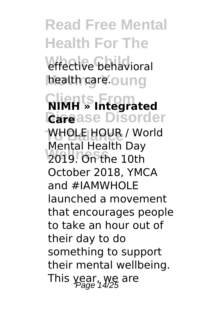**Read Free Mental Health For The** effective behavioral health care.oung **Clients From NIMH » Integrated Disease Disorder Care WHOLE HOUR / World Wellness** 2019. On the 10th Mental Health Day October 2018, YMCA and #IAMWHOLE launched a movement that encourages people to take an hour out of their day to do something to support their mental wellbeing. This year, we are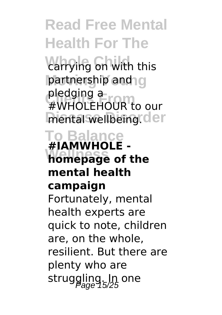*Carrying on with this* partnership and g **Clients From** #WHOLEHOUR to our mental wellbeing.cler pledging a

#### **To Balance Wellness homepage of the #IAMWHOLE mental health**

#### **campaign**

Fortunately, mental health experts are quick to note, children are, on the whole, resilient. But there are plenty who are struggling. In one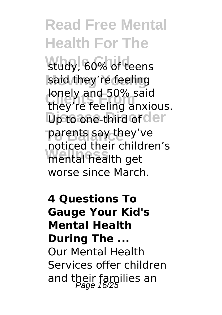study, 60% of teens said they're feeling **Clients From** they're feeling anxious. **Disto one-third or der They've Wellness** mental health get lonely and 50% said noticed their children's worse since March.

#### **4 Questions To Gauge Your Kid's Mental Health During The ...** Our Mental Health Services offer children and their families an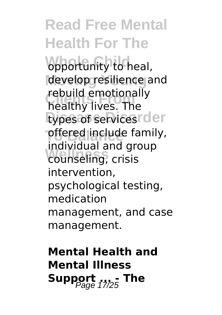**opportunity** to heal, develop resilience and **Clients From** healthy lives. The types of services<sup>r der</sup> **pffered include family, Wellness** counseling, crisis rebuild emotionally individual and group intervention, psychological testing, medication management, and case management.

### **Mental Health and Mental Illness** Support **The** The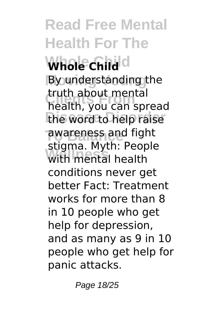**Read Free Mental Health For The Whole Child Whole Child Moving Young** By understanding the **Clients From** health, you can spread the word to help raise **Tawareness and fight Wellness** with mental health truth about mental stigma. Myth: People conditions never get better Fact: Treatment works for more than 8 in 10 people who get help for depression, and as many as 9 in 10 people who get help for panic attacks.

Page 18/25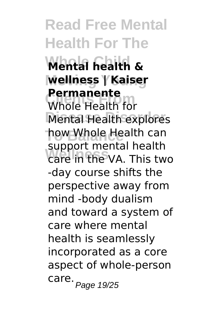**Read Free Mental Health For The Whole Child Mental health & Moving Young wellness | Kaiser Permanente**<br>Whole Health for **Mental Health explores how Whole Health can** support mental nealth **Permanente** support mental health -day course shifts the perspective away from mind -body dualism and toward a system of care where mental health is seamlessly incorporated as a core aspect of whole-person care. Page 19/25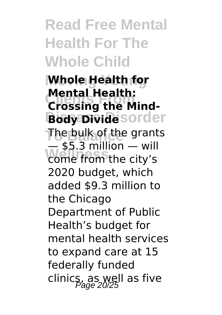### **Read Free Mental Health For The Whole Child**

**Moving Young Whole Health for Prental Health:**<br>Crossing the Mind-**Body Divide** sorder **The bulk of the grants Wellness** come from the city's **Mental Health:**  $-$  \$5.3 million  $-$  will 2020 budget, which added \$9.3 million to the Chicago Department of Public Health's budget for mental health services to expand care at 15 federally funded clinics, as well as five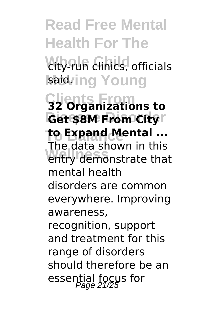**Read Free Mental Health For The Wity-run clinics, officials** said<sub>ring</sub> Young **Clients From 32 Organizations to Get \$8M From City**<sup>r</sup> **to Expand Mental ... Wellness** entry demonstrate that The data shown in this mental health disorders are common everywhere. Improving awareness, recognition, support and treatment for this range of disorders should therefore be an essential focus for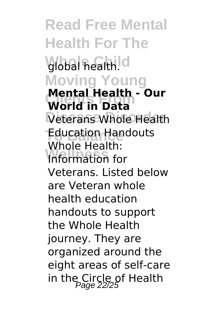**Read Free Mental Health For The Whole Child** global health. **Moving Young Wental Health**<br>World in Data **Veterans Whole Health Education Handouts Wellness** Information for **Mental Health - Our** Whole Health: Veterans. Listed below are Veteran whole health education handouts to support the Whole Health journey. They are organized around the eight areas of self-care in the Circle of Health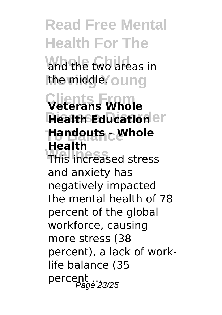**Read Free Mental Health For The** and the two areas in **the middle** oung **Clients From Veterans Whole Health Education**<sup>er</sup> **To Balance Handouts - Whole Wellness** This increased stress **Health** and anxiety has negatively impacted the mental health of 78 percent of the global workforce, causing more stress (38 percent), a lack of worklife balance (35 percent ... 23/25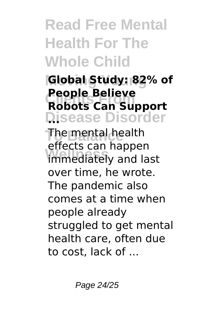### **Read Free Mental Health For The Whole Child**

### **Moving Young Global Study: 82% of Robots Can Support Disease Disorder ... People Believe**

**The mental health Wellness** immediately and last effects can happen over time, he wrote. The pandemic also comes at a time when people already struggled to get mental health care, often due to cost, lack of ...